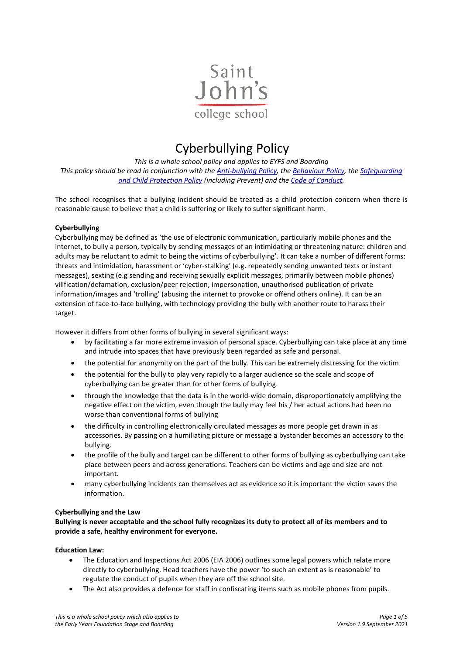

# Cyberbullying Policy

*This is a whole school policy and applies to EYFS and Boarding This policy should be read in conjunction with the [Anti-bullying Policy,](https://www.sjcs.co.uk/sites/default/files/styles/Policies/SJCS%20Anti-Bullying%20Policy.pdf) the [Behaviour Policy,](https://www.sjcs.co.uk/sites/default/files/styles/Policies/SJCS%20Behaviour%20Policy.pdf) th[e Safeguarding](https://www.sjcs.co.uk/sites/default/files/styles/Policies/SJCS%20Safeguarding%20and%20Child%20Protection%20Policy.pdf)  [and Child Protection Policy](https://www.sjcs.co.uk/sites/default/files/styles/Policies/SJCS%20Safeguarding%20and%20Child%20Protection%20Policy.pdf) (including Prevent) and the [Code of Conduct.](https://www.sjcs.co.uk/sites/default/files/styles/Policies/SJCS%20Code%20of%20Conduct.pdf)*

The school recognises that a bullying incident should be treated as a child protection concern when there is reasonable cause to believe that a child is suffering or likely to suffer significant harm.

### **Cyberbullying**

Cyberbullying may be defined as 'the use of electronic communication, particularly mobile phones and the internet, to bully a person, typically by sending messages of an intimidating or threatening nature: children and adults may be reluctant to admit to being the victims of cyberbullying'. It can take a number of different forms: threats and intimidation, harassment or 'cyber-stalking' (e.g. repeatedly sending unwanted texts or instant messages), sexting (e.g sending and receiving sexually explicit messages, primarily between mobile phones) vilification/defamation, exclusion/peer rejection, impersonation, unauthorised publication of private information/images and 'trolling' (abusing the internet to provoke or offend others online). It can be an extension of face-to-face bullying, with technology providing the bully with another route to harass their target.

However it differs from other forms of bullying in several significant ways:

- by facilitating a far more extreme invasion of personal space. Cyberbullying can take place at any time and intrude into spaces that have previously been regarded as safe and personal.
- the potential for anonymity on the part of the bully. This can be extremely distressing for the victim
- the potential for the bully to play very rapidly to a larger audience so the scale and scope of cyberbullying can be greater than for other forms of bullying.
- through the knowledge that the data is in the world-wide domain, disproportionately amplifying the negative effect on the victim, even though the bully may feel his / her actual actions had been no worse than conventional forms of bullying
- the difficulty in controlling electronically circulated messages as more people get drawn in as accessories. By passing on a humiliating picture or message a bystander becomes an accessory to the bullying.
- the profile of the bully and target can be different to other forms of bullying as cyberbullying can take place between peers and across generations. Teachers can be victims and age and size are not important.
- many cyberbullying incidents can themselves act as evidence so it is important the victim saves the information.

### **Cyberbullying and the Law**

**Bullying is never acceptable and the school fully recognizes its duty to protect all of its members and to provide a safe, healthy environment for everyone.** 

**Education Law:**

- The Education and Inspections Act 2006 (EIA 2006) outlines some legal powers which relate more directly to cyberbullying. Head teachers have the power 'to such an extent as is reasonable' to regulate the conduct of pupils when they are off the school site.
- The Act also provides a defence for staff in confiscating items such as mobile phones from pupils.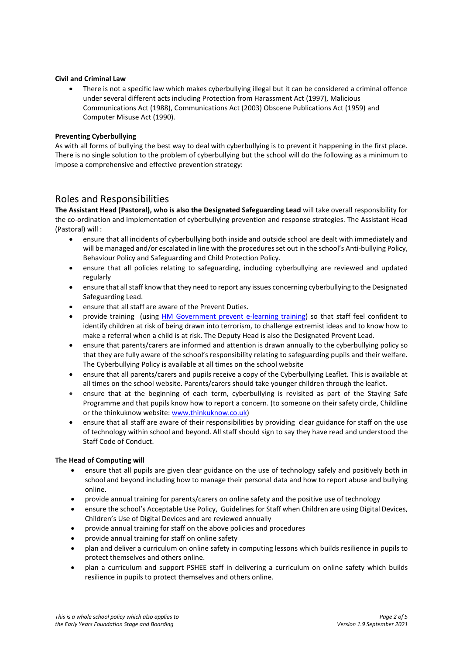### **Civil and Criminal Law**

• There is not a specific law which makes cyberbullying illegal but it can be considered a criminal offence under several different acts including Protection from Harassment Act (1997), Malicious Communications Act (1988), Communications Act (2003) Obscene Publications Act (1959) and Computer Misuse Act (1990).

### **Preventing Cyberbullying**

As with all forms of bullying the best way to deal with cyberbullying is to prevent it happening in the first place. There is no single solution to the problem of cyberbullying but the school will do the following as a minimum to impose a comprehensive and effective prevention strategy:

### Roles and Responsibilities

**The Assistant Head (Pastoral), who is also the Designated Safeguarding Lead** will take overall responsibility for the co-ordination and implementation of cyberbullying prevention and response strategies. The Assistant Head (Pastoral) will :

- ensure that all incidents of cyberbullying both inside and outside school are dealt with immediately and will be managed and/or escalated in line with the procedures set out in the school's Anti-bullying Policy, Behaviour Policy and Safeguarding and Child Protection Policy.
- ensure that all policies relating to safeguarding, including cyberbullying are reviewed and updated regularly
- ensure that all staff know that they need to report any issues concerning cyberbullying to the Designated Safeguarding Lead.
- ensure that all staff are aware of the Prevent Duties.
- provide training (using [HM Government prevent e-learning training\)](https://www.elearning.prevent.homeoffice.gov.uk/edu/screen1.html) so that staff feel confident to identify children at risk of being drawn into terrorism, to challenge extremist ideas and to know how to make a referral when a child is at risk. The Deputy Head is also the Designated Prevent Lead.
- ensure that parents/carers are informed and attention is drawn annually to the cyberbullying policy so that they are fully aware of the school's responsibility relating to safeguarding pupils and their welfare. The Cyberbullying Policy is available at all times on the school website
- ensure that all parents/carers and pupils receive a copy of the Cyberbullying Leaflet. This is available at all times on the school website. Parents/carers should take younger children through the leaflet.
- ensure that at the beginning of each term, cyberbullying is revisited as part of the Staying Safe Programme and that pupils know how to report a concern. (to someone on their safety circle, Childline or the thinkuknow website: [www.thinkuknow.co.uk\)](http://www.thinkuknow.co.uk/)
- ensure that all staff are aware of their responsibilities by providing clear guidance for staff on the use of technology within school and beyond. All staff should sign to say they have read and understood the Staff Code of Conduct.

### **The Head of Computing will**

- ensure that all pupils are given clear guidance on the use of technology safely and positively both in school and beyond including how to manage their personal data and how to report abuse and bullying online.
- provide annual training for parents/carers on online safety and the positive use of technology
- ensure the school's Acceptable Use Policy, Guidelines for Staff when Children are using Digital Devices, Children's Use of Digital Devices and are reviewed annually
- provide annual training for staff on the above policies and procedures
- provide annual training for staff on online safety
- plan and deliver a curriculum on online safety in computing lessons which builds resilience in pupils to protect themselves and others online.
- plan a curriculum and support PSHEE staff in delivering a curriculum on online safety which builds resilience in pupils to protect themselves and others online.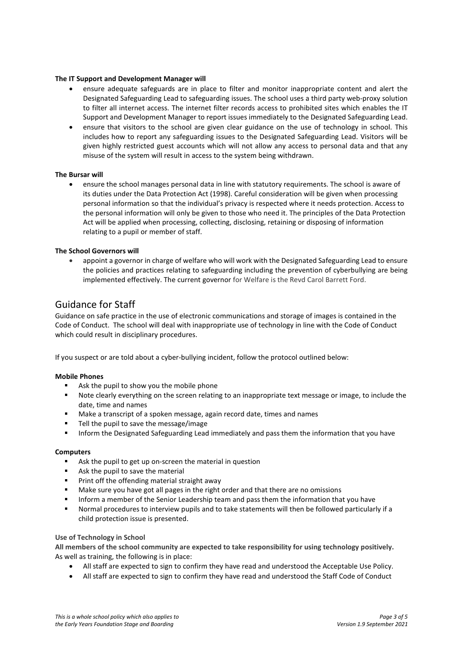### **The IT Support and Development Manager will**

- ensure adequate safeguards are in place to filter and monitor inappropriate content and alert the Designated Safeguarding Lead to safeguarding issues. The school uses a third party web-proxy solution to filter all internet access. The internet filter records access to prohibited sites which enables the IT Support and Development Manager to report issues immediately to the Designated Safeguarding Lead.
- ensure that visitors to the school are given clear guidance on the use of technology in school. This includes how to report any safeguarding issues to the Designated Safeguarding Lead. Visitors will be given highly restricted guest accounts which will not allow any access to personal data and that any misuse of the system will result in access to the system being withdrawn.

### **The Bursar will**

• ensure the school manages personal data in line with statutory requirements. The school is aware of its duties under the Data Protection Act (1998). Careful consideration will be given when processing personal information so that the individual's privacy is respected where it needs protection. Access to the personal information will only be given to those who need it. The principles of the Data Protection Act will be applied when processing, collecting, disclosing, retaining or disposing of information relating to a pupil or member of staff.

### **The School Governors will**

• appoint a governor in charge of welfare who will work with the Designated Safeguarding Lead to ensure the policies and practices relating to safeguarding including the prevention of cyberbullying are being implemented effectively. The current governor for Welfare is the Revd Carol Barrett Ford.

### Guidance for Staff

Guidance on safe practice in the use of electronic communications and storage of images is contained in the Code of Conduct. The school will deal with inappropriate use of technology in line with the Code of Conduct which could result in disciplinary procedures.

If you suspect or are told about a cyber-bullying incident, follow the protocol outlined below:

### **Mobile Phones**

- Ask the pupil to show you the mobile phone
- Note clearly everything on the screen relating to an inappropriate text message or image, to include the date, time and names
- Make a transcript of a spoken message, again record date, times and names
- Tell the pupil to save the message/image
- Inform the Designated Safeguarding Lead immediately and pass them the information that you have

### **Computers**

- Ask the pupil to get up on-screen the material in question
- Ask the pupil to save the material
- **Print off the offending material straight away**
- Make sure you have got all pages in the right order and that there are no omissions
- **Inform a member of the Senior Leadership team and pass them the information that you have**
- Normal procedures to interview pupils and to take statements will then be followed particularly if a child protection issue is presented.

### **Use of Technology in School**

**All members of the school community are expected to take responsibility for using technology positively.**  As well as training, the following is in place:

- All staff are expected to sign to confirm they have read and understood the Acceptable Use Policy.
- All staff are expected to sign to confirm they have read and understood the Staff Code of Conduct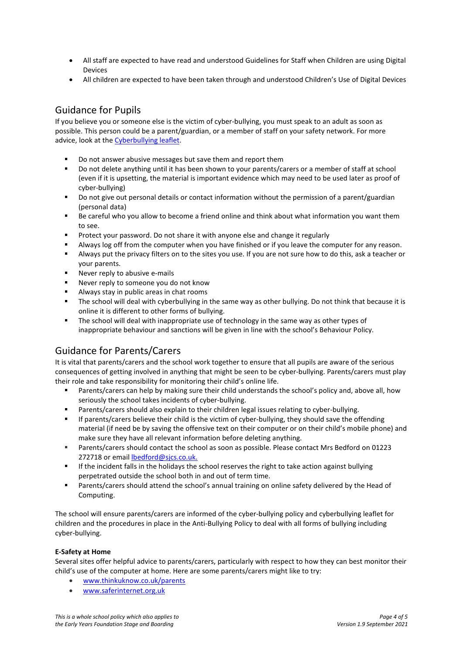- All staff are expected to have read and understood Guidelines for Staff when Children are using Digital Devices
- All children are expected to have been taken through and understood Children's Use of Digital Devices

# Guidance for Pupils

If you believe you or someone else is the victim of cyber-bullying, you must speak to an adult as soon as possible. This person could be a parent/guardian, or a member of staff on your safety network. For more advice, look at the [Cyberbullying leaflet.](https://www.sjcs.co.uk/sites/default/files/styles/Policies/SJCS%20Cyber-%20bullying%20Leaflet.pdf)

- Do not answer abusive messages but save them and report them<br>Do not delete anything until it has been shown to your parents/call
- Do not delete anything until it has been shown to your parents/carers or a member of staff at school (even if it is upsetting, the material is important evidence which may need to be used later as proof of cyber-bullying)
- **Do not give out personal details or contact information without the permission of a parent/guardian** (personal data)
- Be careful who you allow to become a friend online and think about what information you want them to see.
- Protect your password. Do not share it with anyone else and change it regularly
- Always log off from the computer when you have finished or if you leave the computer for any reason.
- Always put the privacy filters on to the sites you use. If you are not sure how to do this, ask a teacher or your parents.
- Never reply to abusive e-mails
- Never reply to someone you do not know
- Always stay in public areas in chat rooms
- The school will deal with cyberbullying in the same way as other bullying. Do not think that because it is online it is different to other forms of bullying.
- The school will deal with inappropriate use of technology in the same way as other types of inappropriate behaviour and sanctions will be given in line with the school's Behaviour Policy.

# Guidance for Parents/Carers

It is vital that parents/carers and the school work together to ensure that all pupils are aware of the serious consequences of getting involved in anything that might be seen to be cyber-bullying. Parents/carers must play their role and take responsibility for monitoring their child's online life.

- Parents/carers can help by making sure their child understands the school's policy and, above all, how seriously the school takes incidents of cyber-bullying.
- Parents/carers should also explain to their children legal issues relating to cyber-bullying.
- If parents/carers believe their child is the victim of cyber-bullying, they should save the offending material (if need be by saving the offensive text on their computer or on their child's mobile phone) and make sure they have all relevant information before deleting anything.
- Parents/carers should contact the school as soon as possible. Please contact Mrs Bedford on 01223 272718 or email lbedford@sjcs.co.uk.
- If the incident falls in the holidays the school reserves the right to take action against bullying perpetrated outside the school both in and out of term time.
- **Parents/carers should attend the school's annual training on online safety delivered by the Head of** Computing.

The school will ensure parents/carers are informed of the cyber-bullying policy and cyberbullying leaflet for children and the procedures in place in the Anti-Bullying Policy to deal with all forms of bullying including cyber-bullying.

### **E-Safety at Home**

Several sites offer helpful advice to parents/carers, particularly with respect to how they can best monitor their child's use of the computer at home. Here are some parents/carers might like to try:

- [www.thinkuknow.co.uk/parents](http://www.thinkuknow.co.uk/parents)
- [www.saferinternet.org.uk](http://www.saferinternet.org.uk/)